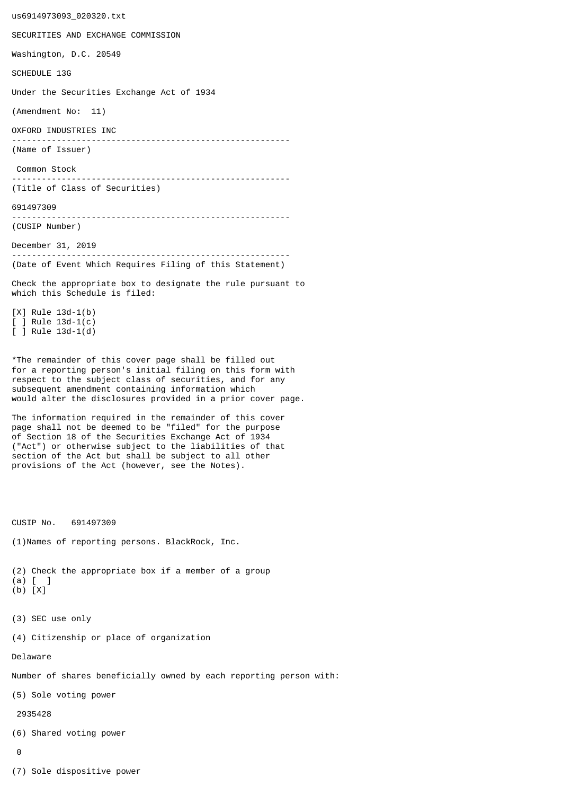us6914973093\_020320.txt SECURITIES AND EXCHANGE COMMISSION Washington, D.C. 20549 SCHEDULE 13G Under the Securities Exchange Act of 1934 (Amendment No: 11) OXFORD INDUSTRIES INC -------------------------------------------------------- (Name of Issuer) Common Stock -------------------------------------------------------- (Title of Class of Securities) 691497309 -------------------------------------------------------- (CUSIP Number) December 31, 2019 -------------------------------------------------------- (Date of Event Which Requires Filing of this Statement) Check the appropriate box to designate the rule pursuant to which this Schedule is filed: [X] Rule 13d-1(b) [ ] Rule 13d-1(c) [ ] Rule 13d-1(d) \*The remainder of this cover page shall be filled out for a reporting person's initial filing on this form with respect to the subject class of securities, and for any subsequent amendment containing information which would alter the disclosures provided in a prior cover page. The information required in the remainder of this cover page shall not be deemed to be "filed" for the purpose of Section 18 of the Securities Exchange Act of 1934 ("Act") or otherwise subject to the liabilities of that section of the Act but shall be subject to all other provisions of the Act (however, see the Notes). CUSIP No. 691497309 (1)Names of reporting persons. BlackRock, Inc. (2) Check the appropriate box if a member of a group (a) [ ] (b) [X] (3) SEC use only (4) Citizenship or place of organization Delaware Number of shares beneficially owned by each reporting person with: (5) Sole voting power 2935428 (6) Shared voting power

 $\Omega$ 

(7) Sole dispositive power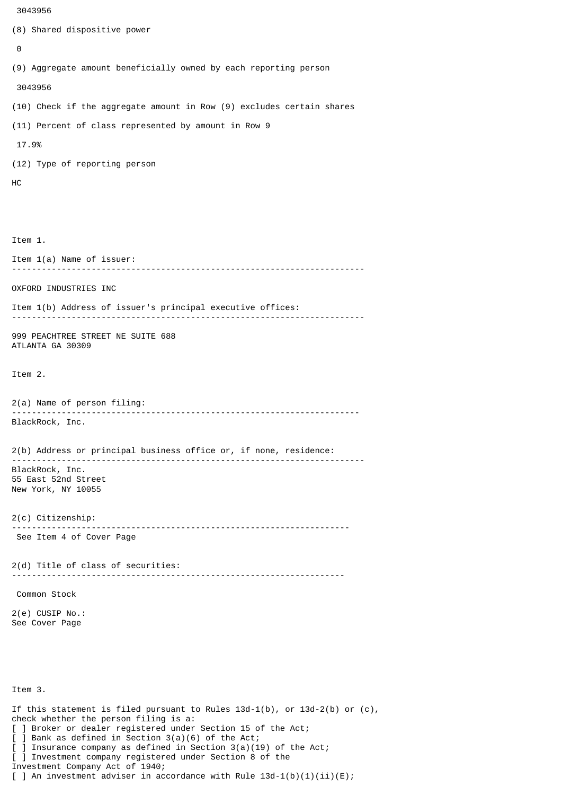```
 3043956
(8) Shared dispositive power
 \Omega(9) Aggregate amount beneficially owned by each reporting person
  3043956
(10) Check if the aggregate amount in Row (9) excludes certain shares
(11) Percent of class represented by amount in Row 9
  17.9%
(12) Type of reporting person
HC
Item 1.
Item 1(a) Name of issuer:
                            -----------------------------------------------------------------------
OXFORD INDUSTRIES INC
Item 1(b) Address of issuer's principal executive offices:
-----------------------------------------------------------------------
999 PEACHTREE STREET NE SUITE 688
ATLANTA GA 30309
Item 2.
2(a) Name of person filing:
               ----------------------------------------------------------------------
BlackRock, Inc.
2(b) Address or principal business office or, if none, residence:
-----------------------------------------------------------------------
BlackRock, Inc.
55 East 52nd Street
New York, NY 10055
2(c) Citizenship:
                            --------------------------------------------------------------------
 See Item 4 of Cover Page
2(d) Title of class of securities:
                                      -------------------------------------------------------------------
  Common Stock
2(e) CUSIP No.:
See Cover Page
Item 3.
If this statement is filed pursuant to Rules 13d-1(b), or 13d-2(b) or (c),
check whether the person filing is a:
[ ] Broker or dealer registered under Section 15 of the Act;
```
[ ] Bank as defined in Section 3(a)(6) of the Act;

Investment Company Act of 1940;

[ ] Investment company registered under Section 8 of the

[ ] Insurance company as defined in Section 3(a)(19) of the Act;

[ ] An investment adviser in accordance with Rule  $13d-1(b)(1)(ii)(E)$ ;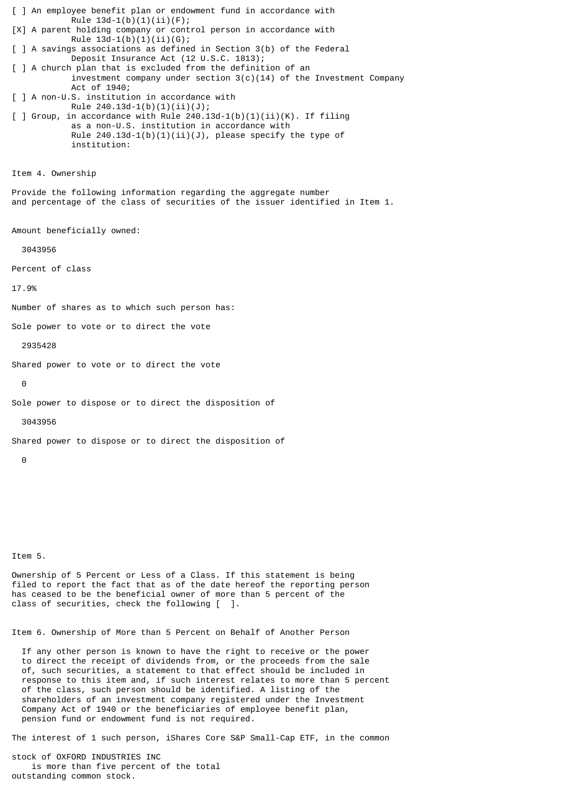[ ] An employee benefit plan or endowment fund in accordance with Rule  $13d-1(b)(1)(ii)(F);$ [X] A parent holding company or control person in accordance with Rule  $13d-1(b)(1)(ii)(G);$ [ ] A savings associations as defined in Section 3(b) of the Federal Deposit Insurance Act (12 U.S.C. 1813); [ ] A church plan that is excluded from the definition of an investment company under section  $3(c)(14)$  of the Investment Company Act of 1940; [ ] A non-U.S. institution in accordance with Rule  $240.13d-1(b)(1)(ii)(J);$  $[$  ] Group, in accordance with Rule 240.13d-1(b)(1)(ii)(K). If filing as a non-U.S. institution in accordance with Rule  $240.13d-1(b)(1)(ii)(J)$ , please specify the type of institution: Item 4. Ownership Provide the following information regarding the aggregate number and percentage of the class of securities of the issuer identified in Item 1. Amount beneficially owned: 3043956 Percent of class 17.9% Number of shares as to which such person has: Sole power to vote or to direct the vote 2935428 Shared power to vote or to direct the vote  $\boldsymbol{\Theta}$ Sole power to dispose or to direct the disposition of 3043956 Shared power to dispose or to direct the disposition of  $\boldsymbol{\Theta}$ Item 5.

Ownership of 5 Percent or Less of a Class. If this statement is being filed to report the fact that as of the date hereof the reporting person has ceased to be the beneficial owner of more than 5 percent of the class of securities, check the following [ ].

Item 6. Ownership of More than 5 Percent on Behalf of Another Person

 If any other person is known to have the right to receive or the power to direct the receipt of dividends from, or the proceeds from the sale of, such securities, a statement to that effect should be included in response to this item and, if such interest relates to more than 5 percent of the class, such person should be identified. A listing of the shareholders of an investment company registered under the Investment Company Act of 1940 or the beneficiaries of employee benefit plan, pension fund or endowment fund is not required.

The interest of 1 such person, iShares Core S&P Small-Cap ETF, in the common

stock of OXFORD INDUSTRIES INC is more than five percent of the total outstanding common stock.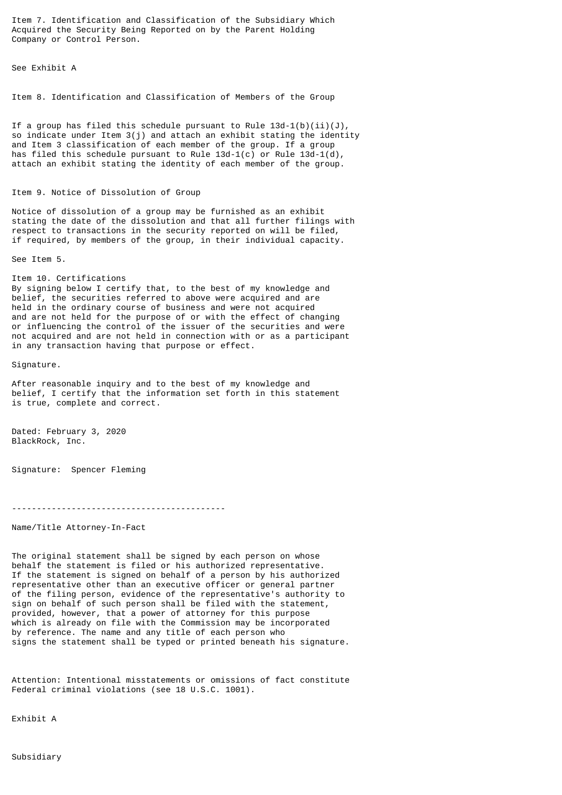Item 7. Identification and Classification of the Subsidiary Which Acquired the Security Being Reported on by the Parent Holding Company or Control Person.

See Exhibit A

Item 8. Identification and Classification of Members of the Group

If a group has filed this schedule pursuant to Rule  $13d-1(b)(ii)(J)$ , so indicate under Item 3(j) and attach an exhibit stating the identity and Item 3 classification of each member of the group. If a group has filed this schedule pursuant to Rule 13d-1(c) or Rule 13d-1(d), attach an exhibit stating the identity of each member of the group.

Item 9. Notice of Dissolution of Group

Notice of dissolution of a group may be furnished as an exhibit stating the date of the dissolution and that all further filings with respect to transactions in the security reported on will be filed, if required, by members of the group, in their individual capacity.

See Item 5.

Item 10. Certifications By signing below I certify that, to the best of my knowledge and belief, the securities referred to above were acquired and are held in the ordinary course of business and were not acquired and are not held for the purpose of or with the effect of changing or influencing the control of the issuer of the securities and were not acquired and are not held in connection with or as a participant in any transaction having that purpose or effect.

Signature.

After reasonable inquiry and to the best of my knowledge and belief, I certify that the information set forth in this statement is true, complete and correct.

Dated: February 3, 2020 BlackRock, Inc.

Signature: Spencer Fleming

```
-------------------------------------------
```
Name/Title Attorney-In-Fact

The original statement shall be signed by each person on whose behalf the statement is filed or his authorized representative. If the statement is signed on behalf of a person by his authorized representative other than an executive officer or general partner of the filing person, evidence of the representative's authority to sign on behalf of such person shall be filed with the statement, provided, however, that a power of attorney for this purpose which is already on file with the Commission may be incorporated by reference. The name and any title of each person who signs the statement shall be typed or printed beneath his signature.

Attention: Intentional misstatements or omissions of fact constitute Federal criminal violations (see 18 U.S.C. 1001).

Exhibit A